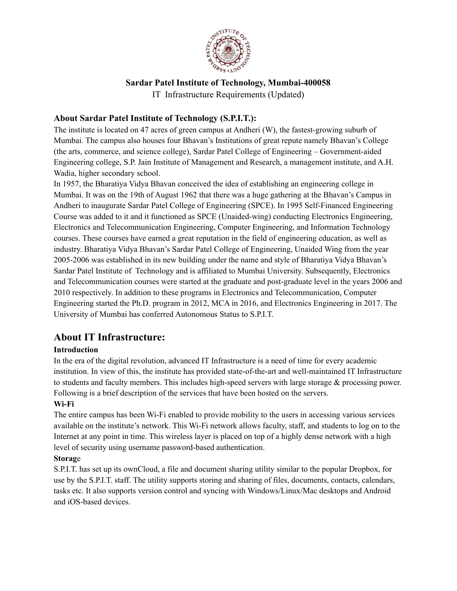

# **Sardar Patel Institute of Technology, Mumbai-400058**

IT Infrastructure Requirements (Updated)

# **About Sardar Patel Institute of Technology (S.P.I.T.):**

The institute is located on 47 acres of green campus at Andheri (W), the fastest-growing suburb of Mumbai. The campus also houses four Bhavan's Institutions of great repute namely Bhavan's College (the arts, commerce, and science college), Sardar Patel College of Engineering – Government-aided Engineering college, S.P. Jain Institute of Management and Research, a management institute, and A.H. Wadia, higher secondary school.

In 1957, the Bharatiya Vidya Bhavan conceived the idea of establishing an engineering college in Mumbai. It was on the 19th of August 1962 that there was a huge gathering at the Bhavan's Campus in Andheri to inaugurate Sardar Patel College of Engineering (SPCE). In 1995 Self-Financed Engineering Course was added to it and it functioned as SPCE (Unaided-wing) conducting Electronics Engineering, Electronics and Telecommunication Engineering, Computer Engineering, and Information Technology courses. These courses have earned a great reputation in the field of engineering education, as well as industry. Bharatiya Vidya Bhavan's Sardar Patel College of Engineering, Unaided Wing from the year 2005-2006 was established in its new building under the name and style of Bharatiya Vidya Bhavan's Sardar Patel Institute of Technology and is affiliated to Mumbai University. Subsequently, Electronics and Telecommunication courses were started at the graduate and post-graduate level in the years 2006 and 2010 respectively. In addition to these programs in Electronics and Telecommunication, Computer Engineering started the Ph.D. program in 2012, MCA in 2016, and Electronics Engineering in 2017. The University of Mumbai has conferred Autonomous Status to S.P.I.T.

# **About IT Infrastructure:**

# **Introduction**

In the era of the digital revolution, advanced IT Infrastructure is a need of time for every academic institution. In view of this, the institute has provided state-of-the-art and well-maintained IT Infrastructure to students and faculty members. This includes high-speed servers with large storage & processing power. Following is a brief description of the services that have been hosted on the servers.

# **Wi-Fi**

The entire campus has been Wi-Fi enabled to provide mobility to the users in accessing various services available on the institute's network. This Wi-Fi network allows faculty, staff, and students to log on to the Internet at any point in time. This wireless layer is placed on top of a highly dense network with a high level of security using username password-based authentication.

# **Storag**e

S.P.I.T. has set up its ownCloud, a file and document sharing utility similar to the popular Dropbox, for use by the S.P.I.T. staff. The utility supports storing and sharing of files, documents, contacts, calendars, tasks etc. It also supports version control and syncing with Windows/Linux/Mac desktops and Android and iOS-based devices.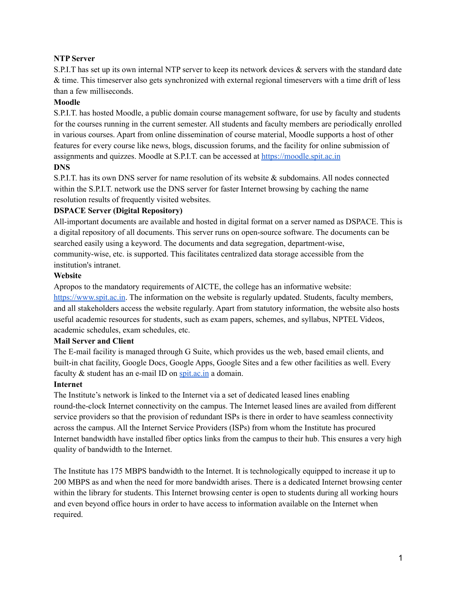#### **NTP Server**

S.P.I.T has set up its own internal NTP server to keep its network devices & servers with the standard date & time. This timeserver also gets synchronized with external regional timeservers with a time drift of less than a few milliseconds.

#### **Moodle**

S.P.I.T. has hosted Moodle, a public domain course management software, for use by faculty and students for the courses running in the current semester. All students and faculty members are periodically enrolled in various courses. Apart from online dissemination of course material, Moodle supports a host of other features for every course like news, blogs, discussion forums, and the facility for online submission of assignments and quizzes. Moodle at S.P.I.T. can be accessed at [https://moodle.spit.ac.in](http://moodle.spit.ac.in/)

#### **DNS**

S.P.I.T. has its own DNS server for name resolution of its website & subdomains. All nodes connected within the S.P.I.T. network use the DNS server for faster Internet browsing by caching the name resolution results of frequently visited websites.

#### **DSPACE Server (Digital Repository)**

All-important documents are available and hosted in digital format on a server named as DSPACE. This is a digital repository of all documents. This server runs on open-source software. The documents can be searched easily using a keyword. The documents and data segregation, department-wise, community-wise, etc. is supported. This facilitates centralized data storage accessible from the institution's intranet.

#### **Website**

Apropos to the mandatory requirements of AICTE, the college has an informative website: [https://www.spit.ac.in](http://www.spit.ac.in/). The information on the website is regularly updated. Students, faculty members, and all stakeholders access the website regularly. Apart from statutory information, the website also hosts useful academic resources for students, such as exam papers, schemes, and syllabus, NPTEL Videos, academic schedules, exam schedules, etc.

# **Mail Server and Client**

The E-mail facility is managed through G Suite, which provides us the web, based email clients, and built-in chat facility, Google Docs, Google Apps, Google Sites and a few other facilities as well. Every faculty & student has an e-mail ID on [spit.ac.in](https://www.spit.ac.in/academics/it-infrastructure/spit.ac.in) a domain.

#### **Internet**

The Institute's network is linked to the Internet via a set of dedicated leased lines enabling round-the-clock Internet connectivity on the campus. The Internet leased lines are availed from different service providers so that the provision of redundant ISPs is there in order to have seamless connectivity across the campus. All the Internet Service Providers (ISPs) from whom the Institute has procured Internet bandwidth have installed fiber optics links from the campus to their hub. This ensures a very high quality of bandwidth to the Internet.

The Institute has 175 MBPS bandwidth to the Internet. It is technologically equipped to increase it up to 200 MBPS as and when the need for more bandwidth arises. There is a dedicated Internet browsing center within the library for students. This Internet browsing center is open to students during all working hours and even beyond office hours in order to have access to information available on the Internet when required.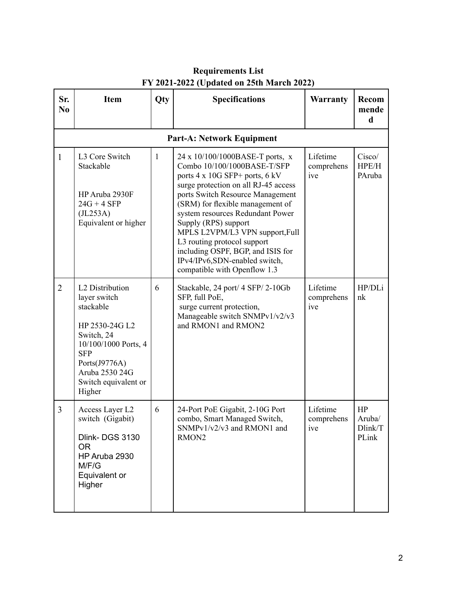| Sr.<br>N <sub>0</sub> | <b>Item</b>                                                                                                                                                                             | Qty          | <b>Specifications</b>                                                                                                                                                                                                                                                                                                                                                                                                                                         | <b>Warranty</b>               | Recom<br>mende<br>d              |
|-----------------------|-----------------------------------------------------------------------------------------------------------------------------------------------------------------------------------------|--------------|---------------------------------------------------------------------------------------------------------------------------------------------------------------------------------------------------------------------------------------------------------------------------------------------------------------------------------------------------------------------------------------------------------------------------------------------------------------|-------------------------------|----------------------------------|
|                       |                                                                                                                                                                                         |              | <b>Part-A: Network Equipment</b>                                                                                                                                                                                                                                                                                                                                                                                                                              |                               |                                  |
| 1                     | L3 Core Switch<br>Stackable<br>HP Aruba 2930F<br>$24G + 4SFP$<br>(JL253A)<br>Equivalent or higher                                                                                       | $\mathbf{1}$ | 24 x 10/100/1000BASE-T ports, x<br>Combo 10/100/1000BASE-T/SFP<br>ports $4 \times 10G$ SFP+ ports, $6$ kV<br>surge protection on all RJ-45 access<br>ports Switch Resource Management<br>(SRM) for flexible management of<br>system resources Redundant Power<br>Supply (RPS) support<br>MPLS L2VPM/L3 VPN support, Full<br>L3 routing protocol support<br>including OSPF, BGP, and ISIS for<br>IPv4/IPv6,SDN-enabled switch,<br>compatible with Openflow 1.3 | Lifetime<br>comprehens<br>ive | Cisco/<br>HPE/H<br>PAruba        |
| $\overline{2}$        | L2 Distribution<br>layer switch<br>stackable<br>HP 2530-24G L2<br>Switch, 24<br>10/100/1000 Ports, 4<br><b>SFP</b><br>Ports(J9776A)<br>Aruba 2530 24G<br>Switch equivalent or<br>Higher | 6            | Stackable, 24 port/ 4 SFP/2-10Gb<br>SFP, full PoE,<br>surge current protection,<br>Manageable switch SNMPv1/v2/v3<br>and RMON1 and RMON2                                                                                                                                                                                                                                                                                                                      | Lifetime<br>comprehens<br>ive | HP/DLi<br>nk                     |
| 3                     | Access Layer L2<br>switch (Gigabit)<br>Dlink-DGS 3130<br><b>OR</b><br>HP Aruba 2930<br>M/F/G<br>Equivalent or<br>Higher                                                                 | 6            | 24-Port PoE Gigabit, 2-10G Port<br>combo, Smart Managed Switch,<br>SNMPv1/v2/v3 and RMON1 and<br>RMON2                                                                                                                                                                                                                                                                                                                                                        | Lifetime<br>comprehens<br>ive | HP<br>Aruba/<br>Dlink/T<br>PLink |

# **Requirements List FY 2021-2022 (Updated on 25th March 2022)**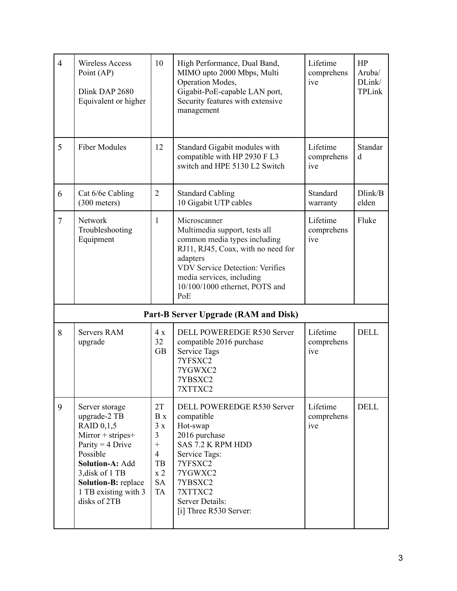| $\overline{4}$ | <b>Wireless Access</b><br>Point (AP)<br>Dlink DAP 2680<br>Equivalent or higher                                                                                                                                  | 10                                                                                                  | High Performance, Dual Band,<br>MIMO upto 2000 Mbps, Multi<br>Operation Modes,<br>Gigabit-PoE-capable LAN port,<br>Security features with extensive<br>management                                                                               | Lifetime<br>comprehens<br>ive | HP<br>Aruba/<br>DLink/<br>TPLink |  |
|----------------|-----------------------------------------------------------------------------------------------------------------------------------------------------------------------------------------------------------------|-----------------------------------------------------------------------------------------------------|-------------------------------------------------------------------------------------------------------------------------------------------------------------------------------------------------------------------------------------------------|-------------------------------|----------------------------------|--|
| 5              | <b>Fiber Modules</b>                                                                                                                                                                                            | 12                                                                                                  | Standard Gigabit modules with<br>compatible with HP 2930 F L3<br>switch and HPE 5130 L2 Switch                                                                                                                                                  | Lifetime<br>comprehens<br>ive | <b>Standar</b><br>d              |  |
| 6              | Cat 6/6e Cabling<br>$(300$ meters)                                                                                                                                                                              | $\overline{2}$                                                                                      | <b>Standard Cabling</b><br>10 Gigabit UTP cables                                                                                                                                                                                                | Standard<br>warranty          | Dlink/B<br>elden                 |  |
| $\overline{7}$ | Network<br>Troubleshooting<br>Equipment                                                                                                                                                                         | $\mathbf{1}$                                                                                        | Microscanner<br>Multimedia support, tests all<br>common media types including<br>RJ11, RJ45, Coax, with no need for<br>adapters<br><b>VDV Service Detection: Verifies</b><br>media services, including<br>10/100/1000 ethernet, POTS and<br>PoE | Lifetime<br>comprehens<br>ive | Fluke                            |  |
|                | Part-B Server Upgrade (RAM and Disk)                                                                                                                                                                            |                                                                                                     |                                                                                                                                                                                                                                                 |                               |                                  |  |
| 8              | <b>Servers RAM</b><br>upgrade                                                                                                                                                                                   | 4x<br>32<br><b>GB</b>                                                                               | <b>DELL POWEREDGE R530 Server</b><br>compatible 2016 purchase<br><b>Service Tags</b><br>7YFSXC2<br>7YGWXC2<br>7YBSXC2<br>7XTTXC2                                                                                                                | Lifetime<br>comprehens<br>ive | <b>DELL</b>                      |  |
| 9              | Server storage<br>upgrade-2 TB<br>RAID 0,1,5<br>Mirror + stripes+<br>Parity = $4$ Drive<br>Possible<br>Solution-A: Add<br>3, disk of 1 TB<br><b>Solution-B: replace</b><br>1 TB existing with 3<br>disks of 2TB | 2T<br>B x<br>3x<br>$\overline{3}$<br>$^{+}$<br>$\overline{4}$<br>TB<br>x2<br><b>SA</b><br><b>TA</b> | DELL POWEREDGE R530 Server<br>compatible<br>Hot-swap<br>2016 purchase<br>SAS 7.2 K RPM HDD<br>Service Tags:<br>7YFSXC2<br>7YGWXC2<br>7YBSXC2<br>7XTTXC2<br>Server Details:<br>[i] Three R530 Server:                                            | Lifetime<br>comprehens<br>ive | <b>DELL</b>                      |  |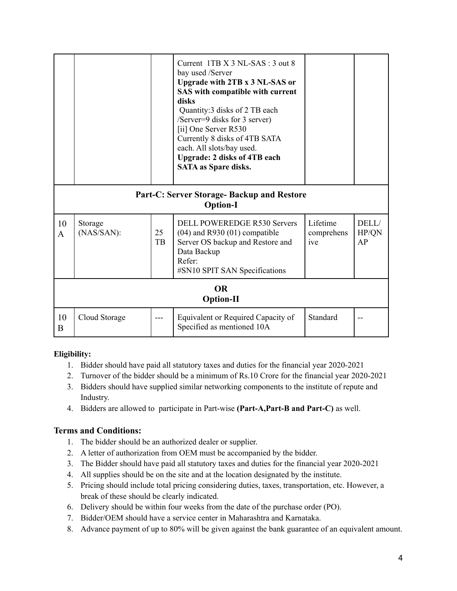|                                                               |                       |          | Current 1TB X 3 NL-SAS : 3 out 8<br>bay used /Server<br><b>Upgrade with 2TB x 3 NL-SAS or</b><br>SAS with compatible with current<br>disks<br>Quantity: 3 disks of 2 TB each<br>/Server=9 disks for 3 server)<br>[ii] One Server R530<br>Currently 8 disks of 4TB SATA<br>each. All slots/bay used.<br><b>Upgrade: 2 disks of 4TB each</b><br><b>SATA as Spare disks.</b> |                               |                      |
|---------------------------------------------------------------|-----------------------|----------|---------------------------------------------------------------------------------------------------------------------------------------------------------------------------------------------------------------------------------------------------------------------------------------------------------------------------------------------------------------------------|-------------------------------|----------------------|
| Part-C: Server Storage- Backup and Restore<br><b>Option-I</b> |                       |          |                                                                                                                                                                                                                                                                                                                                                                           |                               |                      |
| 10<br>A                                                       | Storage<br>(NAS/SAN): | 25<br>TB | <b>DELL POWEREDGE R530 Servers</b><br>$(04)$ and R930 $(01)$ compatible<br>Server OS backup and Restore and<br>Data Backup<br>Refer:<br>#SN10 SPIT SAN Specifications                                                                                                                                                                                                     | Lifetime<br>comprehens<br>ive | DELL/<br>HP/QN<br>AP |
| <b>OR</b><br><b>Option-II</b>                                 |                       |          |                                                                                                                                                                                                                                                                                                                                                                           |                               |                      |
| 10<br>B                                                       | Cloud Storage         |          | Equivalent or Required Capacity of<br>Specified as mentioned 10A                                                                                                                                                                                                                                                                                                          | Standard                      |                      |

# **Eligibility:**

- 1. Bidder should have paid all statutory taxes and duties for the financial year 2020-2021
- 2. Turnover of the bidder should be a minimum of Rs.10 Crore for the financial year 2020-2021
- 3. Bidders should have supplied similar networking components to the institute of repute and Industry.
- 4. Bidders are allowed to participate in Part-wise **(Part-A,Part-B and Part-C)** as well.

# **Terms and Conditions:**

- 1. The bidder should be an authorized dealer or supplier.
- 2. A letter of authorization from OEM must be accompanied by the bidder.
- 3. The Bidder should have paid all statutory taxes and duties for the financial year 2020-2021
- 4. All supplies should be on the site and at the location designated by the institute.
- 5. Pricing should include total pricing considering duties, taxes, transportation, etc. However, a break of these should be clearly indicated.
- 6. Delivery should be within four weeks from the date of the purchase order (PO).
- 7. Bidder/OEM should have a service center in Maharashtra and Karnataka.
- 8. Advance payment of up to 80% will be given against the bank guarantee of an equivalent amount.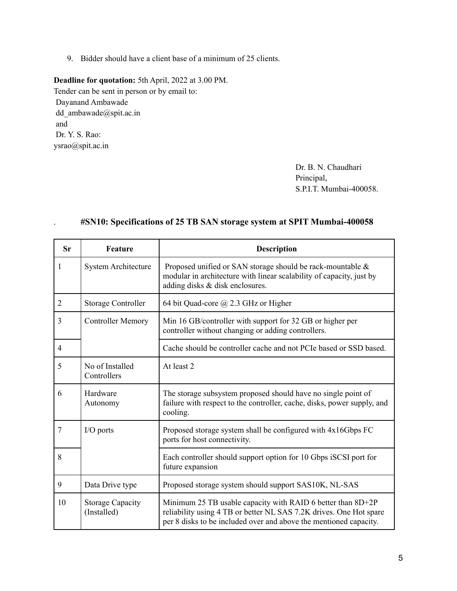9. Bidder should have a client base of a minimum of 25 clients.

**Deadline for quotation:** 5th April, 2022 at 3.00 PM. Tender can be sent in person or by email to: Dayanand Ambawade dd\_ambawade@spit.ac.in and Dr. Y. S. Rao: ysrao@spit.ac.in

> Dr. B. N. Chaudhari Principal, S.P.I.T. Mumbai-400058.

| <b>Sr</b>      | Feature                                | <b>Description</b>                                                                                                                                                                                     |
|----------------|----------------------------------------|--------------------------------------------------------------------------------------------------------------------------------------------------------------------------------------------------------|
| 1              | <b>System Architecture</b>             | Proposed unified or SAN storage should be rack-mountable &<br>modular in architecture with linear scalability of capacity, just by<br>adding disks & disk enclosures.                                  |
| $\overline{2}$ | Storage Controller                     | 64 bit Quad-core @ 2.3 GHz or Higher                                                                                                                                                                   |
| 3              | <b>Controller Memory</b>               | Min 16 GB/controller with support for 32 GB or higher per<br>controller without changing or adding controllers.                                                                                        |
| $\overline{4}$ |                                        | Cache should be controller cache and not PCIe based or SSD based.                                                                                                                                      |
| 5              | No of Installed<br>Controllers         | At least 2                                                                                                                                                                                             |
| 6              | Hardware<br>Autonomy                   | The storage subsystem proposed should have no single point of<br>failure with respect to the controller, cache, disks, power supply, and<br>cooling.                                                   |
| 7              | I/O ports                              | Proposed storage system shall be configured with 4x16Gbps FC<br>ports for host connectivity.                                                                                                           |
| 8              |                                        | Each controller should support option for 10 Gbps iSCSI port for<br>future expansion                                                                                                                   |
| 9              | Data Drive type                        | Proposed storage system should support SAS10K, NL-SAS                                                                                                                                                  |
| 10             | <b>Storage Capacity</b><br>(Installed) | Minimum 25 TB usable capacity with RAID 6 better than 8D+2P<br>reliability using 4 TB or better NL SAS 7.2K drives. One Hot spare<br>per 8 disks to be included over and above the mentioned capacity. |

#### . **#SN10: Specifications of 25 TB SAN storage system at SPIT Mumbai-400058**